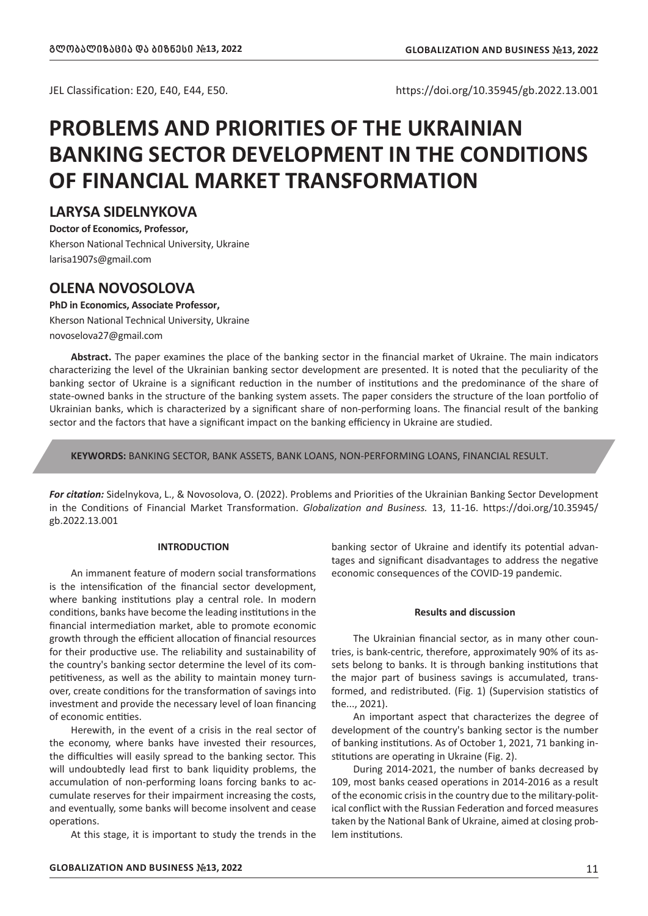JEL Classification: E20, E40, Е44, Е50. https://doi.org/10.35945/gb.2022.13.001

# **PROBLEMS AND PRIORITIES OF THE UKRAINIAN BANKING SECTOR DEVELOPMENT IN THE CONDITIONS OF FINANCIAL MARKET TRANSFORMATION**

# **LARYSA SIDELNYKOVA**

**Doctor of Economics, Professor,** Kherson National Technical University, Ukraine larisa1907s@gmail.com

# **OLENA NOVOSOLOVA**

**PhD in Economics, Associate Professor,**

Kherson National Technical University, Ukraine novoselova27@gmail.com

**Abstract.** The paper examines the place of the banking sector in the financial market of Ukraine. The main indicators characterizing the level of the Ukrainian banking sector development are presented. It is noted that the peculiarity of the banking sector of Ukraine is a significant reduction in the number of institutions and the predominance of the share of state-owned banks in the structure of the banking system assets. The paper considers the structure of the loan portfolio of Ukrainian banks, which is characterized by a significant share of non-performing loans. The financial result of the banking sector and the factors that have a significant impact on the banking efficiency in Ukraine are studied.

**KEYWORDS:** BANKING SECTOR, BANK ASSETS, BANK LOANS, NON-PERFORMING LOANS, FINANCIAL RESULT.

*For citation:* Sidelnykova, L., & Novosolova, O. (2022). Problems and Priorities of the Ukrainian Banking Sector Development in the Conditions of Financial Market Transformation. *Globalization and Business.* 13, 11-16. https://doi.org/10.35945/ gb.2022.13.001

## **INTRODUCTION**

An immanent feature of modern social transformations is the intensification of the financial sector development, where banking institutions play a central role. In modern conditions, banks have become the leading institutions in the financial intermediation market, able to promote economic growth through the efficient allocation of financial resources for their productive use. The reliability and sustainability of the country's banking sector determine the level of its competitiveness, as well as the ability to maintain money turnover, create conditions for the transformation of savings into investment and provide the necessary level of loan financing of economic entities.

Herewith, in the event of a crisis in the real sector of the economy, where banks have invested their resources, the difficulties will easily spread to the banking sector. This will undoubtedly lead first to bank liquidity problems, the accumulation of non-performing loans forcing banks to accumulate reserves for their impairment increasing the costs, and eventually, some banks will become insolvent and cease operations.

At this stage, it is important to study the trends in the

banking sector of Ukraine and identify its potential advantages and significant disadvantages to address the negative economic consequences of the COVID-19 pandemic.

## **Results and discussion**

The Ukrainian financial sector, as in many other countries, is bank-centric, therefore, approximately 90% of its assets belong to banks. It is through banking institutions that the major part of business savings is accumulated, transformed, and redistributed. (Fig. 1) (Supervision statistics of the..., 2021).

An important aspect that characterizes the degree of development of the country's banking sector is the number of banking institutions. As of October 1, 2021, 71 banking institutions are operating in Ukraine (Fig. 2).

During 2014-2021, the number of banks decreased by 109, most banks ceased operations in 2014-2016 as a result of the economic crisis in the country due to the military-political conflict with the Russian Federation and forced measures taken by the National Bank of Ukraine, aimed at closing problem institutions.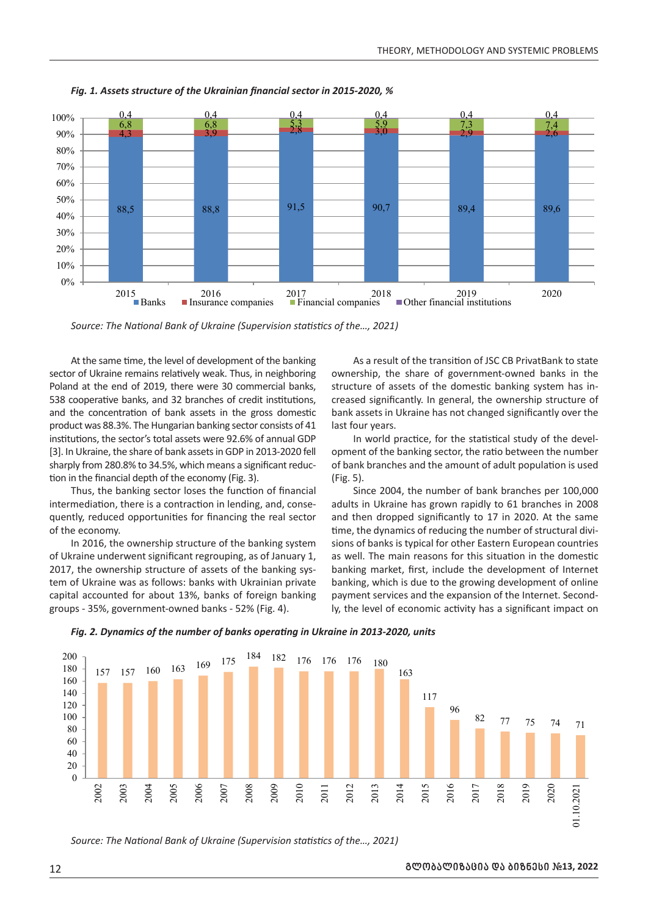

*Fig. 1. Assets structure of the Ukrainian financial sector in 2015-2020, %*

*Source: The National Bank of Ukraine (Supervision statistics of the…, 2021)*

At the same time, the level of development of the banking At the same time, the level of development of the banking As a r<br>sector of Ukraine remains relatively weak. Thus, in neighboring ownership Poland at the end of 2019, there were 30 commercial banks, 538 cooperative banks, and 32 branches of credit institutions, and the concentration of bank assets in the gross domestic and the concentration of bank assets in the gross domestic consists of a bank assets in oktaine has not enanged significantly. product was below. The Hunganian Banking sector consists of 41 institutions, the sector's total assets were 92.6% of annual GDP mstitutions, the sector's total assets were 52.0% of annual GDI<br>[3]. In Ukraine, the share of bank assets in GDP in 2013-2020 fell sharply from 280.8% to 34.5%, which means a significant reduction in the financial depth of the economy (Fig. 3). 0 با<br>ا  $7.0$ **UKr** 

Thus, the banking sector loses the function of financial Thus, the banking sector loses the function of financial<br>intermediation, there is a contraction in lending, and, consequently, reduced opportunities for financing the real sector of the economy.

In 2016, the ownership structure of the banking system of Ukraine underwent significant regrouping, as of January 1, 2017, the ownership structure of assets of the banking system of Ukraine was as follows: banks with Ukrainian private capital accounted for about 13%, banks of foreign banking groups - 35%, government-owned banks - 52% (Fig. 4).

As a result of the transition of JSC CB PrivatBank to state ownership, the share of government-owned banks in the structure of assets of the domestic banking system has increased significantly. In general, the ownership structure of bank assets in Ukraine has not changed significantly over the last four years.  $\frac{3}{2}$ 

or's total assets were 92.6% of annual GDP and a low world practice, for the statistical study of the development of the banking sector, the ratio between the number of bank branches and the amount of adult population is used (Fig. 5).

Since 2004, the number of bank branches per 100,000 Since 2004, the number of bank branches per 100,000<br>adults in Ukraine has grown rapidly to 61 branches in 2008 and the manufactured in tending, and, conservation of ordinary to the same spower rapidly to 01 branches in 2000<br>About the same sportunities for financing the real sector and then dropped significantly to 17 in 2020. At th time, the dynamics of reducing the number of structural divisions of banks is typical for other Eastern European countries as well. The main reasons for this situation in the domestic banking market, first, include the development of Internet banking, which is due to the growing development of online for about 13%, banks of foreign banking payment services and the expansion of the Internet. Secondly, the level of economic activity has a significant impact on the overall companison of the internet become the companison of the level of economic activity has a significant impact on lU<br>in<br>ra



*Fig. 2. Dynamics of the number of banks operating in Ukraine in 2013-2020, units* 84,0

*Source: The National Bank of Ukraine (Supervision statistics of the..., 2021)*  $:$  rne 300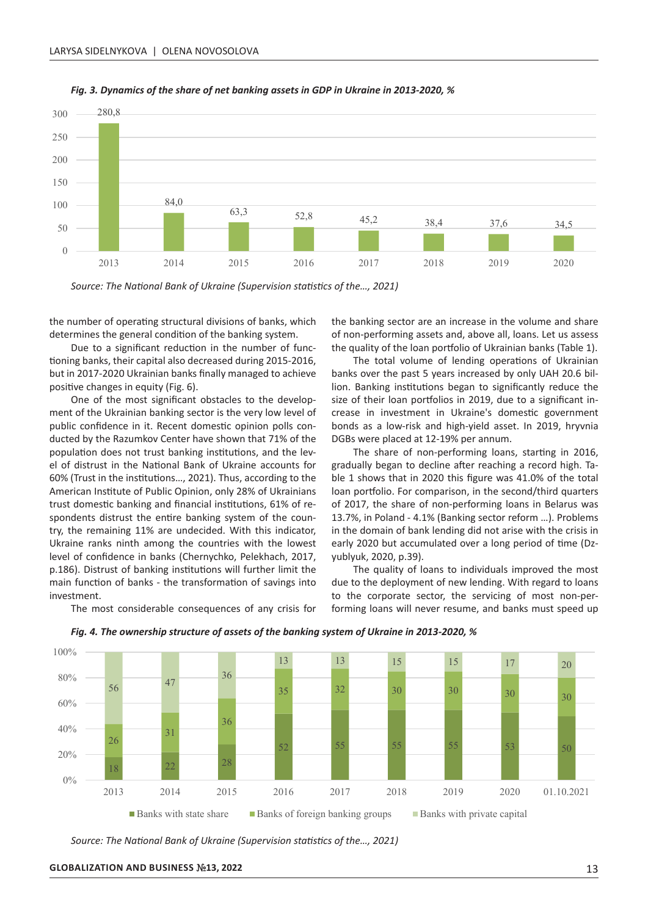



2009

2010

2

2012

2013

2014

2015

2016

2017

2018

2019

2020

01.10.2021

*Source: The National Bank of Ukraine (Supervision statistics of the…, 2021)*

the number of operating structural divisions of banks, which determines the general condition of the banking system. 60

Due to a significant reduction in the number of func-<br>Altring banks their capital also decreased during 2015-2016 tioning banks, their capital also decreased during 2015-2016, 20 but in 2017-2020 Ukrainian banks finally managed to achieve positive changes in equity (Fig. 6).<br>One of the most significant ive changes in equity (Fig. 6).<br>One of the most significant obstacles to the developsitive changes in equity (Fig. 6).<br>One of the most significant obstacle

ment of the Ukrainian banking sector is the very low level of public confidence in it. Recent domestic opinion polls conplante connuence in it. Recent domestic opinion poils conpopulation does not trust banking institutions, and the level of distrust in the National Bank of Ukraine accounts for 60% (Trust in the institutions…, 2021). Thus, according to the American Institute of Public Opinion, only 28% of Ukrainians trust domestic banking and financial institutions, 61% of respondents distrust the entire banking system of the country, the remaining 11% are undecided. With this indicator, Ukraine ranks ninth among the countries with the lowest level of confidence in banks (Chernychko, Pelekhach, 2017, 50 p.186). Distrust of banking institutions will further limit the main function of banks - the transformation of savings into investment.

The most considerable consequences of any crisis for

the banking sector are an increase in the volume and share of non-performing assets and, above all, loans. Let us assess the quality of the loan portfolio of Ukrainian banks (Table 1).

5-2016, The total volume of lending operations of Ukrainian banks over the past 5 years increased by only UAH 20.6 billion. Banking institutions began to significantly reduce the line of their loan portfolios in 2019, due to a significant insize of their loan portfolios in 2019, due to a significant inlevel of crease in investment in Ukraine's domestic government bonds as a low-risk and high-yield asset. In 2019, hryvnia DGBs were placed at 12-19% per annum. th<br>ir<br>n

The share of non-performing loans, starting in 2016, in the National Bank of Ukraine accounts for gradually began to decline after reaching a record high. Taitutions..., 2021). Thus, according to the ble 1 shows that in 2020 this figure was 41.0% of the total is loan portfolio. For comparison, in the second/third quarters of 2017, the share of non-performing loans in Belarus was 13.7%, in Poland - 4.1% (Banking sector reform …). Problems in the domain of bank lending did not arise with the crisis in ries with the lowest early 2020 but accumulated over a long period of time (Dz-<br>ko, Pelekhach, 2017, yublyuk, 2020, p.39). yublyuk, 2020, p.39).

The quality of loans to individuals improved the most due to the deployment of new lending. With regard to loans to the corporate sector, the servicing of most non-performing loans will never resume, and banks must speed up



*Fig. 4. The ownership structure of assets of the banking system of Ukraine in 2013-2020, %*

*Source: The National Bank of Ukraine (Supervision statistics of the…, 2021)*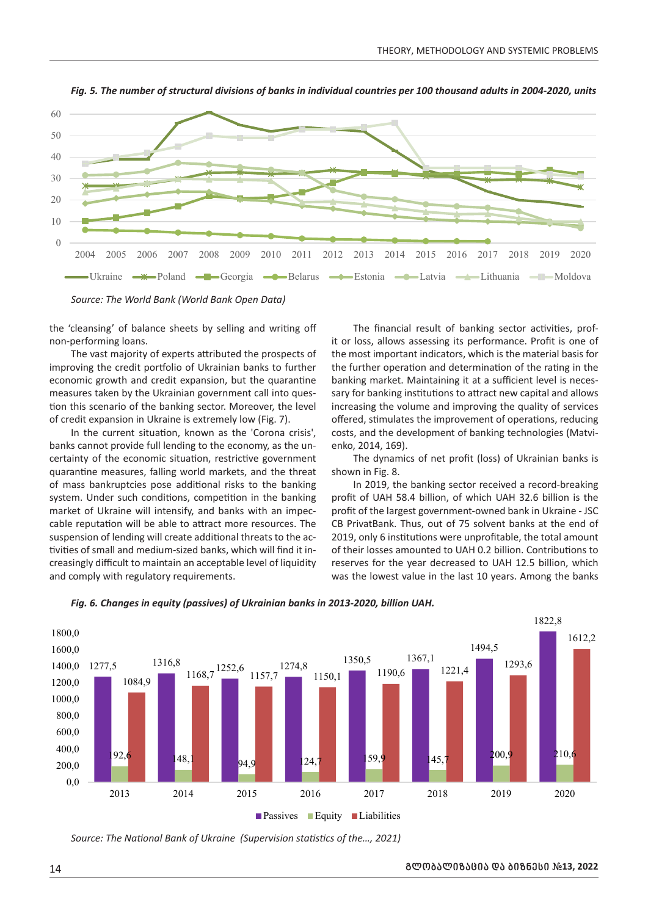

*Fig. 5. The number of structural divisions of banks in individual countries per 100 thousand adults in 2004-2020, units*

*Source: The World Bank (World Bank Open Data)*

the 'cleansing' of balance sheets by selling and writing off non-performing loans.

The vast majority of experts attributed the prospects of the most important inc ine vast majority or experts attributed the prospects of<br>improving the credit portfolio of Ukrainian banks to further economic growth and credit expansion, but the quarantine measures taken by the Ukrainian government call into question this scenario of the banking sector. Moreover, the level of credit expansion in Ukraine is extremely low (Fig. 7).

In the current situation, known as the 'Corona crisis', banks cannot provide full lending to the economy, as the un-<br>
50 metals of the economic situation restrictive government<br>
50 degrees of the economic situation restrictive government<br>
50 degrees of the profit (loss) of Ukra certainty of the economic situation, restrictive government quarantine measures, falling world markets, and the threat of mass bankruptcies pose additional risks to the banking system. Under such conditions, competition in the banking market of Ukraine will intensify, and banks with an impeccable reputation will be able to attract more resources. The suspension of lending will create additional threats to the activities of small and medium-sized banks, which will find it increasingly difficult to maintain an acceptable level of liquidity and comply with regulatory requirements. Ukraine Poland Georgia Belarus Estonia Latvia Lithuania Moldova

The financial result of banking sector activities, profit or loss, allows assessing its performance. Profit is one of the most important indicators, which is the material basis for furty of experts attributed the prospects of the most important indicators, which is the material basis for edit portfolio of Ukrainian banks to further the further operation and determination of the rating in the second a banking market. Maintaining it at a sufficient level is necessary for banking institutions to attract new capital and allows increasing the volume and improving the quality of services offered, stimulates the improvement of operations, reducing costs, and the development of banking technologies (Matvienko, 2014, 169).

The dynamics of net profit (loss) of Ukrainian banks is shown in Fig. 8.

ruptcies pose additional risks to the banking and 2019, the banking sector received a record-breaking profit of UAH 58.4 billion, of which UAH 32.6 billion is the h an impec- profit of the largest government-owned bank in Ukraine - JSC CB PrivatBank. Thus, out of 75 solvent banks at the end of 2019, only 6 institutions were unprofitable, the total amount of their losses amounted to UAH 0.2 billion. Contributions to ingly difficult to maintain an acceptable level of liquidity reserves for the year decreased to UAH 12.5 billion, which was the lowest value in the last 10 years. Among the banks



Fig. 6. Changes in equity (passives) of Ukrainian banks in 2013-2020, billion UAH.<br>'

Source: The National Bank of Ukraine (Supervision statistics of the..., 2021)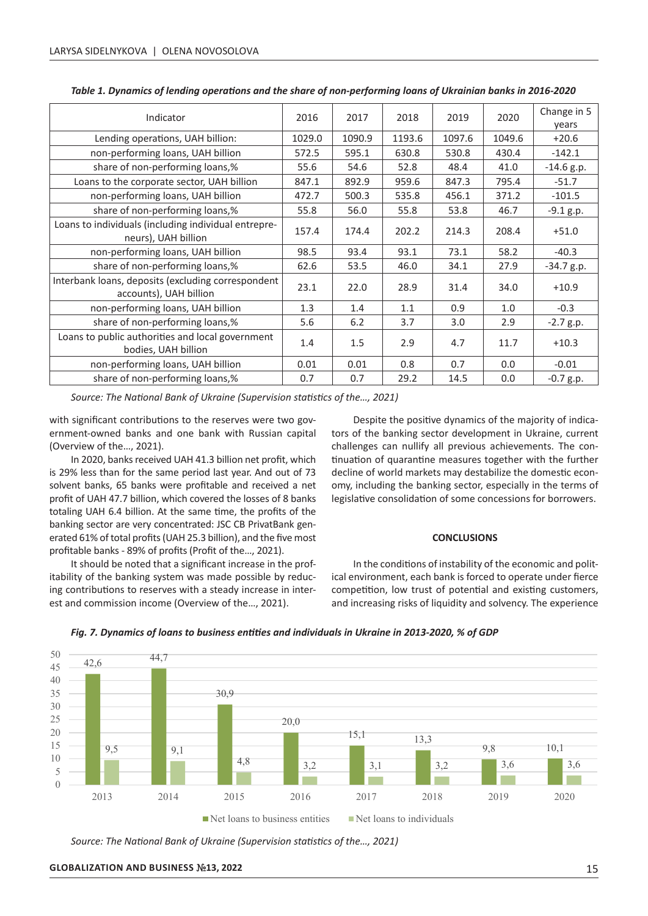|                                                                              |        |        |        |        |        | Change in 5  |
|------------------------------------------------------------------------------|--------|--------|--------|--------|--------|--------------|
| Indicator                                                                    | 2016   | 2017   | 2018   | 2019   | 2020   | years        |
| Lending operations, UAH billion:                                             | 1029.0 | 1090.9 | 1193.6 | 1097.6 | 1049.6 | $+20.6$      |
| non-performing loans, UAH billion                                            | 572.5  | 595.1  | 630.8  | 530.8  | 430.4  | $-142.1$     |
| share of non-performing loans,%                                              | 55.6   | 54.6   | 52.8   | 48.4   | 41.0   | $-14.6$ g.p. |
| Loans to the corporate sector, UAH billion                                   | 847.1  | 892.9  | 959.6  | 847.3  | 795.4  | $-51.7$      |
| non-performing loans, UAH billion                                            | 472.7  | 500.3  | 535.8  | 456.1  | 371.2  | $-101.5$     |
| share of non-performing loans,%                                              | 55.8   | 56.0   | 55.8   | 53.8   | 46.7   | $-9.1 g.p.$  |
| Loans to individuals (including individual entrepre-<br>neurs), UAH billion  | 157.4  | 174.4  | 202.2  | 214.3  | 208.4  | $+51.0$      |
| non-performing loans, UAH billion                                            | 98.5   | 93.4   | 93.1   | 73.1   | 58.2   | $-40.3$      |
| share of non-performing loans,%                                              | 62.6   | 53.5   | 46.0   | 34.1   | 27.9   | $-34.7 g.p.$ |
| Interbank loans, deposits (excluding correspondent<br>accounts), UAH billion | 23.1   | 22.0   | 28.9   | 31.4   | 34.0   | $+10.9$      |
| non-performing loans, UAH billion                                            | 1.3    | 1.4    | 1.1    | 0.9    | 1.0    | $-0.3$       |
| share of non-performing loans,%                                              | 5.6    | 6.2    | 3.7    | 3.0    | 2.9    | $-2.7 g.p.$  |
| Loans to public authorities and local government<br>bodies, UAH billion      | 1.4    | 1.5    | 2.9    | 4.7    | 11.7   | $+10.3$      |
| non-performing loans, UAH billion                                            | 0.01   | 0.01   | 0.8    | 0.7    | 0.0    | $-0.01$      |
| share of non-performing loans,%                                              | 0.7    | 0.7    | 29.2   | 14.5   | 0.0    | $-0.7$ g.p.  |

*Table 1. Dynamics of lending operations and the share of non-performing loans of Ukrainian banks in 2016-2020*

*Source: The National Bank of Ukraine (Supervision statistics of the…, 2021)*

with significant contributions to the reserves were two government-owned banks and one bank with Russian capital  $($ Overview of the $...,$  2021).

In 2020, banks received UAH 41.3 billion net profit, which a tinuation of quarantine<br>% less than for the same period last year. And out of 73 adecline of world market is 29% less than for the same period last year. And out of 73 solvent banks, 65 banks were profitable and received a net profit of UAH 47.7 billion, which covered the losses of 8 banks totaling UAH 6.4 billion. At the same time, the profits of the banking sector are very concentrated: JSC CB PrivatBank generated 61% of total profits (UAH 25.3 billion), and the five most profitable banks - 89% of profits (Profit of the..., 2021).

It should be noted that a significant increase in the profitability of the banking system was made possible by reducing contributions to reserves with a steady increase in interest and commission income (Overview of the…, 2021).

Despite the positive dynamics of the majority of indicators of the banking sector development in Ukraine, current challenges can nullify all previous achievements. The continuation of quarantine measures together with the further decline of world markets may destabilize the domestic econ-<br>1084, 1168, 1168, 1168, 1168, 1168, 1168, 1168, 1168, 1168, 1168, 1168, 1168, 1168, 1168, 1168, 1168, 1168, 11<br>1084, 1084, 1084, 1084, 1084, 1084, 1084, 1084, 116 omy, including the banking sector, especially in the terms of legislative consolidation of some concessions for borrowers.  $2011211$ 

### **CONCLUSIONS**

iks - 89% of profits (Front of the..., 2021).<br>I be noted that a significant increase in the prof-**the intitle conditions of instability of** the economic and political environment, each bank is forced to operate under fierce competition, low trust of potential and existing customers, and increasing risks of liquidity and solvency. The experience 2013 2014 2015 2016 2017 2018 2019 2020



*Fig. 7. Dynamics of loans to business entities and individuals in Ukraine in 2013-2020, % of GDP*

*Source: The National Bank of Ukraine (Supervision statistics of the…, 2021)*

100